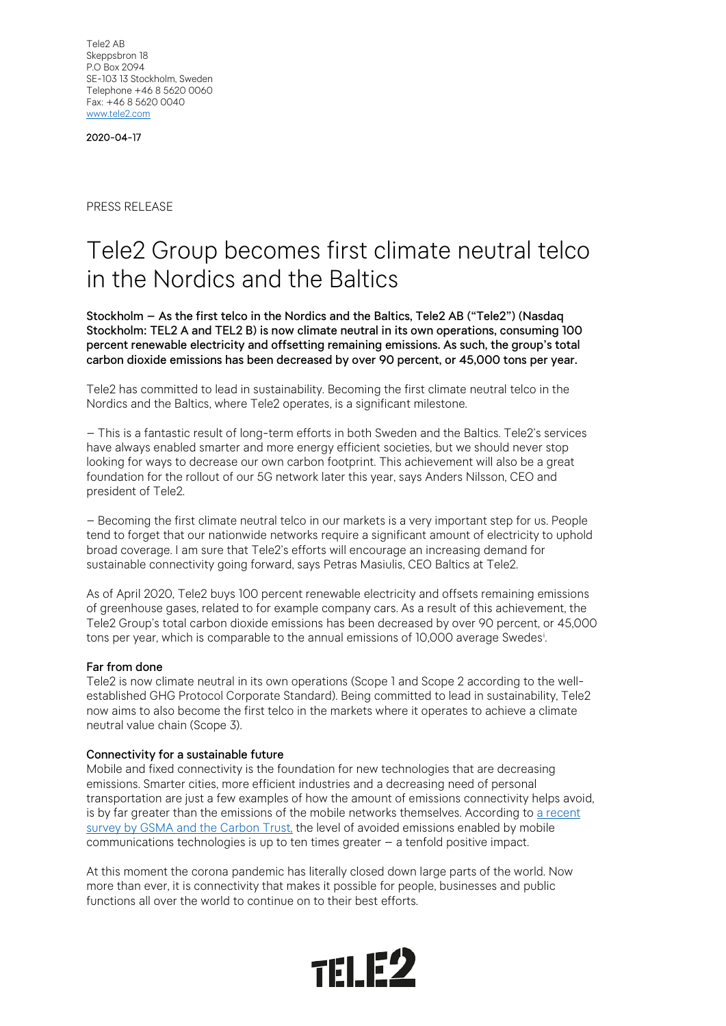Tele2 AB Skeppsbron 18 P.O Box 2094 SE-103 13 Stockholm, Sweden Telephone +46 8 5620 0060 Fax: +46 8 5620 0040 [www.tele2.com](http://www.tele2.com/)

2020-04-17

PRESS RELEASE

## Tele2 Group becomes first climate neutral telco in the Nordics and the Baltics

Stockholm – As the first telco in the Nordics and the Baltics, Tele2 AB ("Tele2") (Nasdaq Stockholm: TEL2 A and TEL2 B) is now climate neutral in its own operations, consuming 100 percent renewable electricity and offsetting remaining emissions. As such, the group's total carbon dioxide emissions has been decreased by over 90 percent, or 45,000 tons per year.

Tele2 has committed to lead in sustainability. Becoming the first climate neutral telco in the Nordics and the Baltics, where Tele2 operates, is a significant milestone.

– This is a fantastic result of long-term efforts in both Sweden and the Baltics. Tele2's services have always enabled smarter and more energy efficient societies, but we should never stop looking for ways to decrease our own carbon footprint. This achievement will also be a great foundation for the rollout of our 5G network later this year, says Anders Nilsson, CEO and president of Tele2.

– Becoming the first climate neutral telco in our markets is a very important step for us. People tend to forget that our nationwide networks require a significant amount of electricity to uphold broad coverage. I am sure that Tele2's efforts will encourage an increasing demand for sustainable connectivity going forward, says Petras Masiulis, CEO Baltics at Tele2.

As of April 2020, Tele2 buys 100 percent renewable electricity and offsets remaining emissions of greenhouse gases, related to for example company cars. As a result of this achievement, the Tele2 Group's total carbon dioxide emissions has been decreased by over 90 percent, or 45,000 tons per year, which is comparable to the annual emissions of 10,000 average Swedes[i](#page-1-0) .

## Far from done

Tele2 is now climate neutral in its own operations (Scope 1 and Scope 2 according to the wellestablished GHG Protocol Corporate Standard). Being committed to lead in sustainability, Tele2 now aims to also become the first telco in the markets where it operates to achieve a climate neutral value chain (Scope 3).

## Connectivity for a sustainable future

Mobile and fixed connectivity is the foundation for new technologies that are decreasing emissions. Smarter cities, more efficient industries and a decreasing need of personal transportation are just a few examples of how the amount of emissions connectivity helps avoid, is by far greater than the emissions of the mobile networks themselves. According to a recent [survey by GSMA and the Carbon Trust,](https://www.gsma.com/betterfuture/wp-content/uploads/2019/12/GSMA_Enablement_Effect.pdf) the level of avoided emissions enabled by mobile communications technologies is up to ten times greater – a tenfold positive impact.

At this moment the corona pandemic has literally closed down large parts of the world. Now more than ever, it is connectivity that makes it possible for people, businesses and public functions all over the world to continue on to their best efforts.